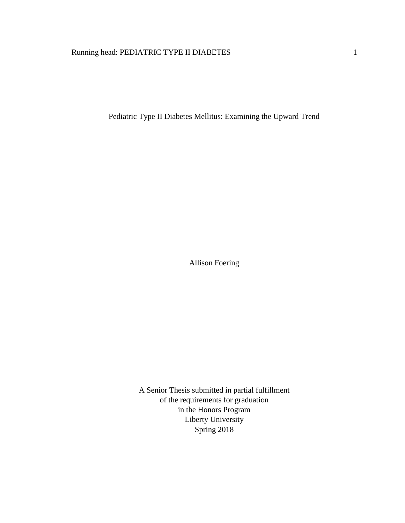# Running head: PEDIATRIC TYPE II DIABETES 1

Pediatric Type II Diabetes Mellitus: Examining the Upward Trend

Allison Foering

A Senior Thesis submitted in partial fulfillment of the requirements for graduation in the Honors Program Liberty University Spring 2018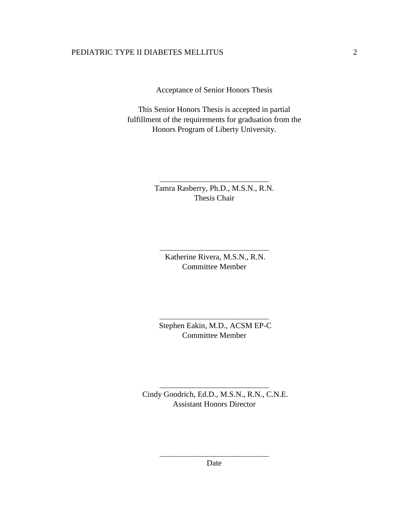Acceptance of Senior Honors Thesis

This Senior Honors Thesis is accepted in partial fulfillment of the requirements for graduation from the Honors Program of Liberty University.

> Tamra Rasberry, Ph.D., M.S.N., R.N. Thesis Chair

\_\_\_\_\_\_\_\_\_\_\_\_\_\_\_\_\_\_\_\_\_\_\_\_\_\_\_\_\_\_

Katherine Rivera, M.S.N., R.N. Committee Member

\_\_\_\_\_\_\_\_\_\_\_\_\_\_\_\_\_\_\_\_\_\_\_\_\_\_\_\_\_\_

Stephen Eakin, M.D., ACSM EP-C Committee Member

\_\_\_\_\_\_\_\_\_\_\_\_\_\_\_\_\_\_\_\_\_\_\_\_\_\_\_\_\_\_

Cindy Goodrich, Ed.D., M.S.N., R.N., C.N.E. Assistant Honors Director

\_\_\_\_\_\_\_\_\_\_\_\_\_\_\_\_\_\_\_\_\_\_\_\_\_\_\_\_\_\_

\_\_\_\_\_\_\_\_\_\_\_\_\_\_\_\_\_\_\_\_\_\_\_\_\_\_\_\_\_\_ Date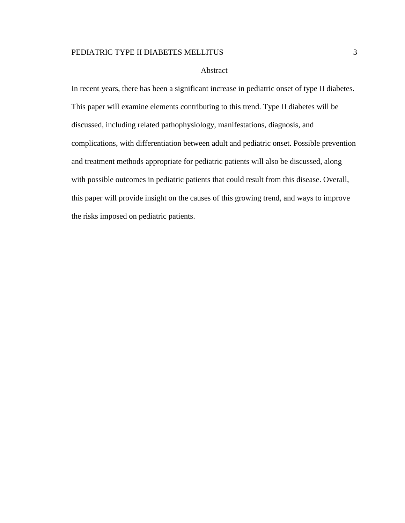#### Abstract

In recent years, there has been a significant increase in pediatric onset of type II diabetes. This paper will examine elements contributing to this trend. Type II diabetes will be discussed, including related pathophysiology, manifestations, diagnosis, and complications, with differentiation between adult and pediatric onset. Possible prevention and treatment methods appropriate for pediatric patients will also be discussed, along with possible outcomes in pediatric patients that could result from this disease. Overall, this paper will provide insight on the causes of this growing trend, and ways to improve the risks imposed on pediatric patients.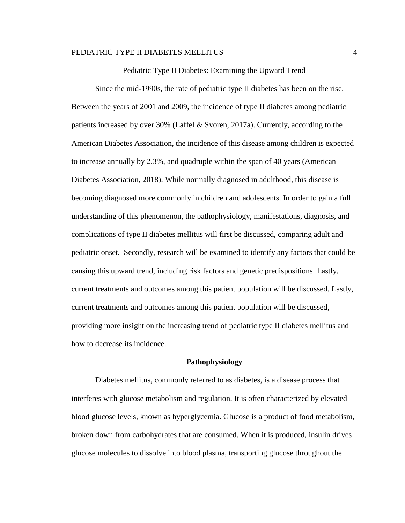Pediatric Type II Diabetes: Examining the Upward Trend

Since the mid-1990s, the rate of pediatric type II diabetes has been on the rise. Between the years of 2001 and 2009, the incidence of type II diabetes among pediatric patients increased by over 30% (Laffel & Svoren, 2017a). Currently, according to the American Diabetes Association, the incidence of this disease among children is expected to increase annually by 2.3%, and quadruple within the span of 40 years (American Diabetes Association, 2018). While normally diagnosed in adulthood, this disease is becoming diagnosed more commonly in children and adolescents. In order to gain a full understanding of this phenomenon, the pathophysiology, manifestations, diagnosis, and complications of type II diabetes mellitus will first be discussed, comparing adult and pediatric onset. Secondly, research will be examined to identify any factors that could be causing this upward trend, including risk factors and genetic predispositions. Lastly, current treatments and outcomes among this patient population will be discussed. Lastly, current treatments and outcomes among this patient population will be discussed, providing more insight on the increasing trend of pediatric type II diabetes mellitus and how to decrease its incidence.

#### **Pathophysiology**

Diabetes mellitus, commonly referred to as diabetes, is a disease process that interferes with glucose metabolism and regulation. It is often characterized by elevated blood glucose levels, known as hyperglycemia. Glucose is a product of food metabolism, broken down from carbohydrates that are consumed. When it is produced, insulin drives glucose molecules to dissolve into blood plasma, transporting glucose throughout the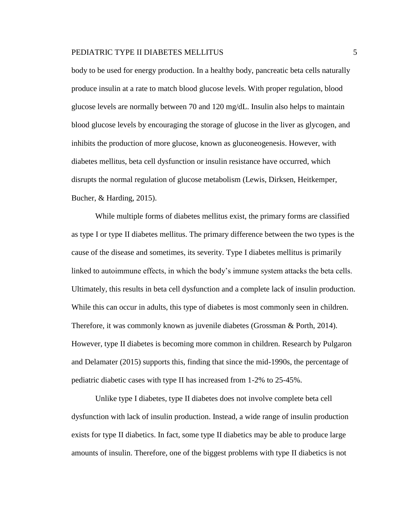body to be used for energy production. In a healthy body, pancreatic beta cells naturally produce insulin at a rate to match blood glucose levels. With proper regulation, blood glucose levels are normally between 70 and 120 mg/dL. Insulin also helps to maintain blood glucose levels by encouraging the storage of glucose in the liver as glycogen, and inhibits the production of more glucose, known as gluconeogenesis. However, with diabetes mellitus, beta cell dysfunction or insulin resistance have occurred, which disrupts the normal regulation of glucose metabolism (Lewis, Dirksen, Heitkemper, Bucher, & Harding, 2015).

While multiple forms of diabetes mellitus exist, the primary forms are classified as type I or type II diabetes mellitus. The primary difference between the two types is the cause of the disease and sometimes, its severity. Type I diabetes mellitus is primarily linked to autoimmune effects, in which the body's immune system attacks the beta cells. Ultimately, this results in beta cell dysfunction and a complete lack of insulin production. While this can occur in adults, this type of diabetes is most commonly seen in children. Therefore, it was commonly known as juvenile diabetes (Grossman & Porth, 2014). However, type II diabetes is becoming more common in children. Research by Pulgaron and Delamater (2015) supports this, finding that since the mid-1990s, the percentage of pediatric diabetic cases with type II has increased from 1-2% to 25-45%.

Unlike type I diabetes, type II diabetes does not involve complete beta cell dysfunction with lack of insulin production. Instead, a wide range of insulin production exists for type II diabetics. In fact, some type II diabetics may be able to produce large amounts of insulin. Therefore, one of the biggest problems with type II diabetics is not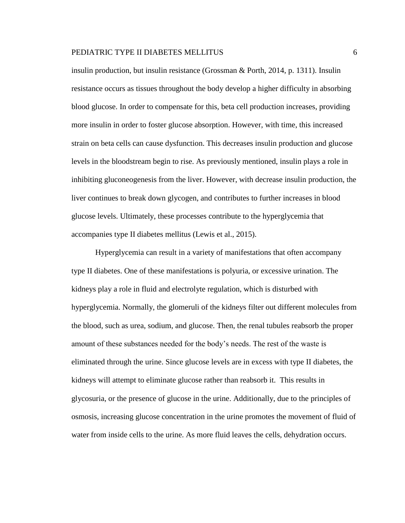insulin production, but insulin resistance (Grossman & Porth, 2014, p. 1311). Insulin resistance occurs as tissues throughout the body develop a higher difficulty in absorbing blood glucose. In order to compensate for this, beta cell production increases, providing more insulin in order to foster glucose absorption. However, with time, this increased strain on beta cells can cause dysfunction. This decreases insulin production and glucose levels in the bloodstream begin to rise. As previously mentioned, insulin plays a role in inhibiting gluconeogenesis from the liver. However, with decrease insulin production, the liver continues to break down glycogen, and contributes to further increases in blood glucose levels. Ultimately, these processes contribute to the hyperglycemia that accompanies type II diabetes mellitus (Lewis et al., 2015).

Hyperglycemia can result in a variety of manifestations that often accompany type II diabetes. One of these manifestations is polyuria, or excessive urination. The kidneys play a role in fluid and electrolyte regulation, which is disturbed with hyperglycemia. Normally, the glomeruli of the kidneys filter out different molecules from the blood, such as urea, sodium, and glucose. Then, the renal tubules reabsorb the proper amount of these substances needed for the body's needs. The rest of the waste is eliminated through the urine. Since glucose levels are in excess with type II diabetes, the kidneys will attempt to eliminate glucose rather than reabsorb it. This results in glycosuria, or the presence of glucose in the urine. Additionally, due to the principles of osmosis, increasing glucose concentration in the urine promotes the movement of fluid of water from inside cells to the urine. As more fluid leaves the cells, dehydration occurs.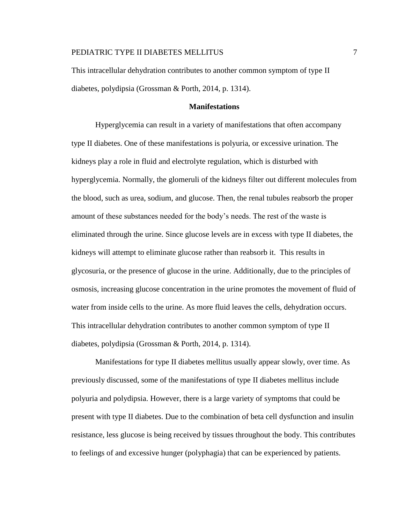This intracellular dehydration contributes to another common symptom of type II diabetes, polydipsia (Grossman & Porth, 2014, p. 1314).

# **Manifestations**

Hyperglycemia can result in a variety of manifestations that often accompany type II diabetes. One of these manifestations is polyuria, or excessive urination. The kidneys play a role in fluid and electrolyte regulation, which is disturbed with hyperglycemia. Normally, the glomeruli of the kidneys filter out different molecules from the blood, such as urea, sodium, and glucose. Then, the renal tubules reabsorb the proper amount of these substances needed for the body's needs. The rest of the waste is eliminated through the urine. Since glucose levels are in excess with type II diabetes, the kidneys will attempt to eliminate glucose rather than reabsorb it. This results in glycosuria, or the presence of glucose in the urine. Additionally, due to the principles of osmosis, increasing glucose concentration in the urine promotes the movement of fluid of water from inside cells to the urine. As more fluid leaves the cells, dehydration occurs. This intracellular dehydration contributes to another common symptom of type II diabetes, polydipsia (Grossman & Porth, 2014, p. 1314).

Manifestations for type II diabetes mellitus usually appear slowly, over time. As previously discussed, some of the manifestations of type II diabetes mellitus include polyuria and polydipsia. However, there is a large variety of symptoms that could be present with type II diabetes. Due to the combination of beta cell dysfunction and insulin resistance, less glucose is being received by tissues throughout the body. This contributes to feelings of and excessive hunger (polyphagia) that can be experienced by patients.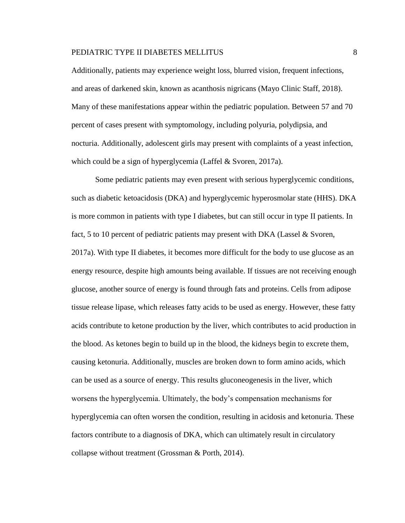Additionally, patients may experience weight loss, blurred vision, frequent infections, and areas of darkened skin, known as acanthosis nigricans (Mayo Clinic Staff, 2018). Many of these manifestations appear within the pediatric population. Between 57 and 70 percent of cases present with symptomology, including polyuria, polydipsia, and nocturia. Additionally, adolescent girls may present with complaints of a yeast infection, which could be a sign of hyperglycemia (Laffel & Svoren, 2017a).

Some pediatric patients may even present with serious hyperglycemic conditions, such as diabetic ketoacidosis (DKA) and hyperglycemic hyperosmolar state (HHS). DKA is more common in patients with type I diabetes, but can still occur in type II patients. In fact, 5 to 10 percent of pediatric patients may present with DKA (Lassel & Svoren, 2017a). With type II diabetes, it becomes more difficult for the body to use glucose as an energy resource, despite high amounts being available. If tissues are not receiving enough glucose, another source of energy is found through fats and proteins. Cells from adipose tissue release lipase, which releases fatty acids to be used as energy. However, these fatty acids contribute to ketone production by the liver, which contributes to acid production in the blood. As ketones begin to build up in the blood, the kidneys begin to excrete them, causing ketonuria. Additionally, muscles are broken down to form amino acids, which can be used as a source of energy. This results gluconeogenesis in the liver, which worsens the hyperglycemia. Ultimately, the body's compensation mechanisms for hyperglycemia can often worsen the condition, resulting in acidosis and ketonuria. These factors contribute to a diagnosis of DKA, which can ultimately result in circulatory collapse without treatment (Grossman & Porth, 2014).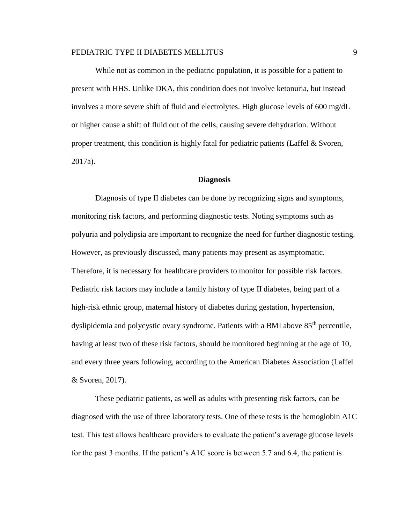While not as common in the pediatric population, it is possible for a patient to present with HHS. Unlike DKA, this condition does not involve ketonuria, but instead involves a more severe shift of fluid and electrolytes. High glucose levels of 600 mg/dL or higher cause a shift of fluid out of the cells, causing severe dehydration. Without proper treatment, this condition is highly fatal for pediatric patients (Laffel & Svoren, 2017a).

# **Diagnosis**

Diagnosis of type II diabetes can be done by recognizing signs and symptoms, monitoring risk factors, and performing diagnostic tests. Noting symptoms such as polyuria and polydipsia are important to recognize the need for further diagnostic testing. However, as previously discussed, many patients may present as asymptomatic. Therefore, it is necessary for healthcare providers to monitor for possible risk factors. Pediatric risk factors may include a family history of type II diabetes, being part of a high-risk ethnic group, maternal history of diabetes during gestation, hypertension, dyslipidemia and polycystic ovary syndrome. Patients with a BMI above 85<sup>th</sup> percentile, having at least two of these risk factors, should be monitored beginning at the age of 10, and every three years following, according to the American Diabetes Association (Laffel & Svoren, 2017).

These pediatric patients, as well as adults with presenting risk factors, can be diagnosed with the use of three laboratory tests. One of these tests is the hemoglobin A1C test. This test allows healthcare providers to evaluate the patient's average glucose levels for the past 3 months. If the patient's A1C score is between 5.7 and 6.4, the patient is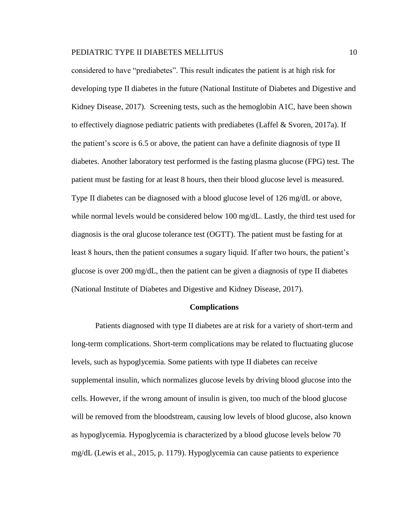considered to have "prediabetes". This result indicates the patient is at high risk for developing type II diabetes in the future (National Institute of Diabetes and Digestive and Kidney Disease, 2017). Screening tests, such as the hemoglobin A1C, have been shown to effectively diagnose pediatric patients with prediabetes (Laffel  $\&$  Svoren, 2017a). If the patient's score is 6.5 or above, the patient can have a definite diagnosis of type II diabetes. Another laboratory test performed is the fasting plasma glucose (FPG) test. The patient must be fasting for at least 8 hours, then their blood glucose level is measured. Type II diabetes can be diagnosed with a blood glucose level of 126 mg/dL or above, while normal levels would be considered below 100 mg/dL. Lastly, the third test used for diagnosis is the oral glucose tolerance test (OGTT). The patient must be fasting for at least 8 hours, then the patient consumes a sugary liquid. If after two hours, the patient's glucose is over 200 mg/dL, then the patient can be given a diagnosis of type II diabetes (National Institute of Diabetes and Digestive and Kidney Disease, 2017).

#### **Complications**

Patients diagnosed with type II diabetes are at risk for a variety of short-term and long-term complications. Short-term complications may be related to fluctuating glucose levels, such as hypoglycemia. Some patients with type II diabetes can receive supplemental insulin, which normalizes glucose levels by driving blood glucose into the cells. However, if the wrong amount of insulin is given, too much of the blood glucose will be removed from the bloodstream, causing low levels of blood glucose, also known as hypoglycemia. Hypoglycemia is characterized by a blood glucose levels below 70 mg/dL (Lewis et al., 2015, p. 1179). Hypoglycemia can cause patients to experience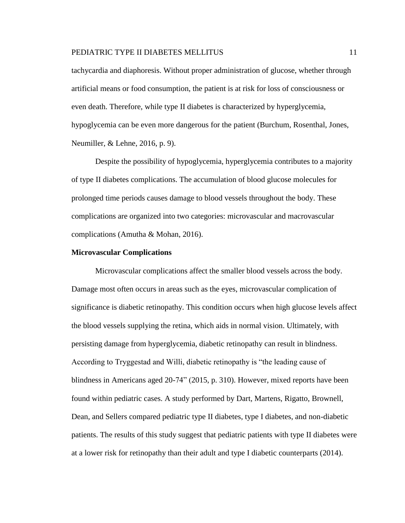tachycardia and diaphoresis. Without proper administration of glucose, whether through artificial means or food consumption, the patient is at risk for loss of consciousness or even death. Therefore, while type II diabetes is characterized by hyperglycemia, hypoglycemia can be even more dangerous for the patient (Burchum, Rosenthal, Jones, Neumiller, & Lehne, 2016, p. 9).

Despite the possibility of hypoglycemia, hyperglycemia contributes to a majority of type II diabetes complications. The accumulation of blood glucose molecules for prolonged time periods causes damage to blood vessels throughout the body. These complications are organized into two categories: microvascular and macrovascular complications (Amutha & Mohan, 2016).

#### **Microvascular Complications**

Microvascular complications affect the smaller blood vessels across the body. Damage most often occurs in areas such as the eyes, microvascular complication of significance is diabetic retinopathy. This condition occurs when high glucose levels affect the blood vessels supplying the retina, which aids in normal vision. Ultimately, with persisting damage from hyperglycemia, diabetic retinopathy can result in blindness. According to Tryggestad and Willi, diabetic retinopathy is "the leading cause of blindness in Americans aged 20-74" (2015, p. 310). However, mixed reports have been found within pediatric cases. A study performed by Dart, Martens, Rigatto, Brownell, Dean, and Sellers compared pediatric type II diabetes, type I diabetes, and non-diabetic patients. The results of this study suggest that pediatric patients with type II diabetes were at a lower risk for retinopathy than their adult and type I diabetic counterparts (2014).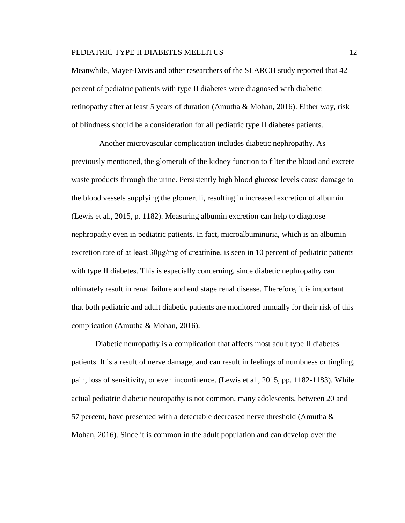Meanwhile, Mayer-Davis and other researchers of the SEARCH study reported that 42 percent of pediatric patients with type II diabetes were diagnosed with diabetic retinopathy after at least 5 years of duration (Amutha & Mohan, 2016). Either way, risk of blindness should be a consideration for all pediatric type II diabetes patients.

 Another microvascular complication includes diabetic nephropathy. As previously mentioned, the glomeruli of the kidney function to filter the blood and excrete waste products through the urine. Persistently high blood glucose levels cause damage to the blood vessels supplying the glomeruli, resulting in increased excretion of albumin (Lewis et al., 2015, p. 1182). Measuring albumin excretion can help to diagnose nephropathy even in pediatric patients. In fact, microalbuminuria, which is an albumin excretion rate of at least  $30\mu\text{g/mg}$  of creatinine, is seen in 10 percent of pediatric patients with type II diabetes. This is especially concerning, since diabetic nephropathy can ultimately result in renal failure and end stage renal disease. Therefore, it is important that both pediatric and adult diabetic patients are monitored annually for their risk of this complication (Amutha & Mohan, 2016).

Diabetic neuropathy is a complication that affects most adult type II diabetes patients. It is a result of nerve damage, and can result in feelings of numbness or tingling, pain, loss of sensitivity, or even incontinence. (Lewis et al., 2015, pp. 1182-1183). While actual pediatric diabetic neuropathy is not common, many adolescents, between 20 and 57 percent, have presented with a detectable decreased nerve threshold (Amutha & Mohan, 2016). Since it is common in the adult population and can develop over the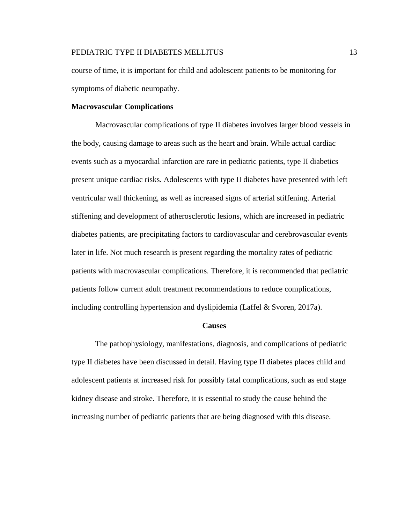course of time, it is important for child and adolescent patients to be monitoring for symptoms of diabetic neuropathy.

# **Macrovascular Complications**

Macrovascular complications of type II diabetes involves larger blood vessels in the body, causing damage to areas such as the heart and brain. While actual cardiac events such as a myocardial infarction are rare in pediatric patients, type II diabetics present unique cardiac risks. Adolescents with type II diabetes have presented with left ventricular wall thickening, as well as increased signs of arterial stiffening. Arterial stiffening and development of atherosclerotic lesions, which are increased in pediatric diabetes patients, are precipitating factors to cardiovascular and cerebrovascular events later in life. Not much research is present regarding the mortality rates of pediatric patients with macrovascular complications. Therefore, it is recommended that pediatric patients follow current adult treatment recommendations to reduce complications, including controlling hypertension and dyslipidemia (Laffel & Svoren, 2017a).

#### **Causes**

The pathophysiology, manifestations, diagnosis, and complications of pediatric type II diabetes have been discussed in detail. Having type II diabetes places child and adolescent patients at increased risk for possibly fatal complications, such as end stage kidney disease and stroke. Therefore, it is essential to study the cause behind the increasing number of pediatric patients that are being diagnosed with this disease.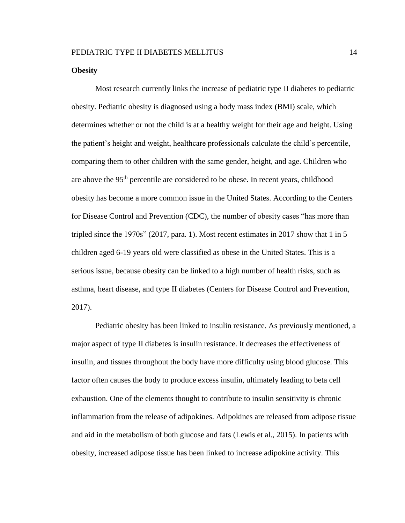# **Obesity**

Most research currently links the increase of pediatric type II diabetes to pediatric obesity. Pediatric obesity is diagnosed using a body mass index (BMI) scale, which determines whether or not the child is at a healthy weight for their age and height. Using the patient's height and weight, healthcare professionals calculate the child's percentile, comparing them to other children with the same gender, height, and age. Children who are above the 95th percentile are considered to be obese. In recent years, childhood obesity has become a more common issue in the United States. According to the Centers for Disease Control and Prevention (CDC), the number of obesity cases "has more than tripled since the 1970s" (2017, para. 1). Most recent estimates in 2017 show that 1 in 5 children aged 6-19 years old were classified as obese in the United States. This is a serious issue, because obesity can be linked to a high number of health risks, such as asthma, heart disease, and type II diabetes (Centers for Disease Control and Prevention, 2017).

Pediatric obesity has been linked to insulin resistance. As previously mentioned, a major aspect of type II diabetes is insulin resistance. It decreases the effectiveness of insulin, and tissues throughout the body have more difficulty using blood glucose. This factor often causes the body to produce excess insulin, ultimately leading to beta cell exhaustion. One of the elements thought to contribute to insulin sensitivity is chronic inflammation from the release of adipokines. Adipokines are released from adipose tissue and aid in the metabolism of both glucose and fats (Lewis et al., 2015). In patients with obesity, increased adipose tissue has been linked to increase adipokine activity. This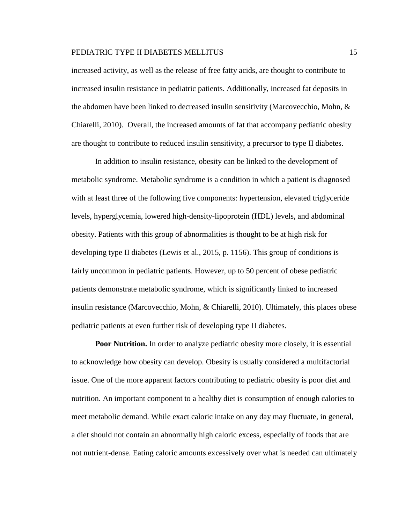increased activity, as well as the release of free fatty acids, are thought to contribute to increased insulin resistance in pediatric patients. Additionally, increased fat deposits in the abdomen have been linked to decreased insulin sensitivity (Marcovecchio, Mohn, & Chiarelli, 2010). Overall, the increased amounts of fat that accompany pediatric obesity are thought to contribute to reduced insulin sensitivity, a precursor to type II diabetes.

In addition to insulin resistance, obesity can be linked to the development of metabolic syndrome. Metabolic syndrome is a condition in which a patient is diagnosed with at least three of the following five components: hypertension, elevated triglyceride levels, hyperglycemia, lowered high-density-lipoprotein (HDL) levels, and abdominal obesity. Patients with this group of abnormalities is thought to be at high risk for developing type II diabetes (Lewis et al., 2015, p. 1156). This group of conditions is fairly uncommon in pediatric patients. However, up to 50 percent of obese pediatric patients demonstrate metabolic syndrome, which is significantly linked to increased insulin resistance (Marcovecchio, Mohn, & Chiarelli, 2010). Ultimately, this places obese pediatric patients at even further risk of developing type II diabetes.

**Poor Nutrition.** In order to analyze pediatric obesity more closely, it is essential to acknowledge how obesity can develop. Obesity is usually considered a multifactorial issue. One of the more apparent factors contributing to pediatric obesity is poor diet and nutrition. An important component to a healthy diet is consumption of enough calories to meet metabolic demand. While exact caloric intake on any day may fluctuate, in general, a diet should not contain an abnormally high caloric excess, especially of foods that are not nutrient-dense. Eating caloric amounts excessively over what is needed can ultimately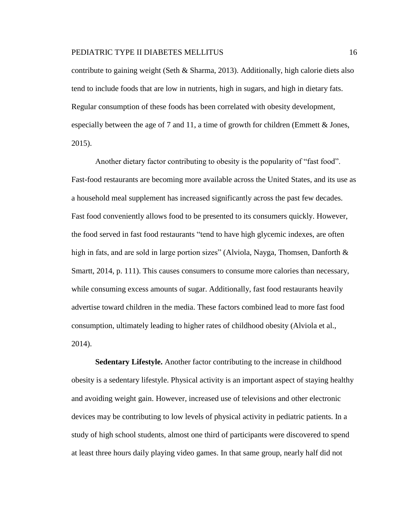contribute to gaining weight (Seth & Sharma, 2013). Additionally, high calorie diets also tend to include foods that are low in nutrients, high in sugars, and high in dietary fats. Regular consumption of these foods has been correlated with obesity development, especially between the age of 7 and 11, a time of growth for children (Emmett  $\&$  Jones, 2015).

Another dietary factor contributing to obesity is the popularity of "fast food". Fast-food restaurants are becoming more available across the United States, and its use as a household meal supplement has increased significantly across the past few decades. Fast food conveniently allows food to be presented to its consumers quickly. However, the food served in fast food restaurants "tend to have high glycemic indexes, are often high in fats, and are sold in large portion sizes" (Alviola, Nayga, Thomsen, Danforth & Smartt, 2014, p. 111). This causes consumers to consume more calories than necessary, while consuming excess amounts of sugar. Additionally, fast food restaurants heavily advertise toward children in the media. These factors combined lead to more fast food consumption, ultimately leading to higher rates of childhood obesity (Alviola et al., 2014).

**Sedentary Lifestyle.** Another factor contributing to the increase in childhood obesity is a sedentary lifestyle. Physical activity is an important aspect of staying healthy and avoiding weight gain. However, increased use of televisions and other electronic devices may be contributing to low levels of physical activity in pediatric patients. In a study of high school students, almost one third of participants were discovered to spend at least three hours daily playing video games. In that same group, nearly half did not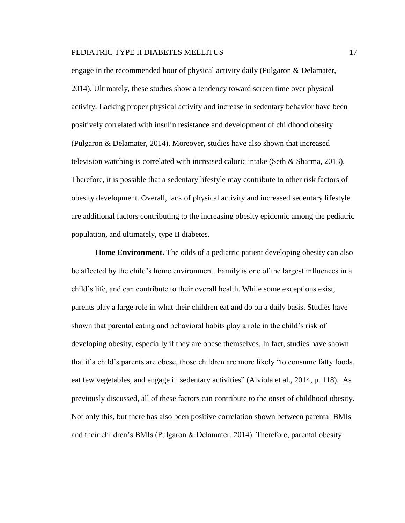engage in the recommended hour of physical activity daily (Pulgaron & Delamater, 2014). Ultimately, these studies show a tendency toward screen time over physical activity. Lacking proper physical activity and increase in sedentary behavior have been positively correlated with insulin resistance and development of childhood obesity (Pulgaron & Delamater, 2014). Moreover, studies have also shown that increased television watching is correlated with increased caloric intake (Seth & Sharma, 2013). Therefore, it is possible that a sedentary lifestyle may contribute to other risk factors of obesity development. Overall, lack of physical activity and increased sedentary lifestyle are additional factors contributing to the increasing obesity epidemic among the pediatric population, and ultimately, type II diabetes.

**Home Environment.** The odds of a pediatric patient developing obesity can also be affected by the child's home environment. Family is one of the largest influences in a child's life, and can contribute to their overall health. While some exceptions exist, parents play a large role in what their children eat and do on a daily basis. Studies have shown that parental eating and behavioral habits play a role in the child's risk of developing obesity, especially if they are obese themselves. In fact, studies have shown that if a child's parents are obese, those children are more likely "to consume fatty foods, eat few vegetables, and engage in sedentary activities" (Alviola et al., 2014, p. 118). As previously discussed, all of these factors can contribute to the onset of childhood obesity. Not only this, but there has also been positive correlation shown between parental BMIs and their children's BMIs (Pulgaron & Delamater, 2014). Therefore, parental obesity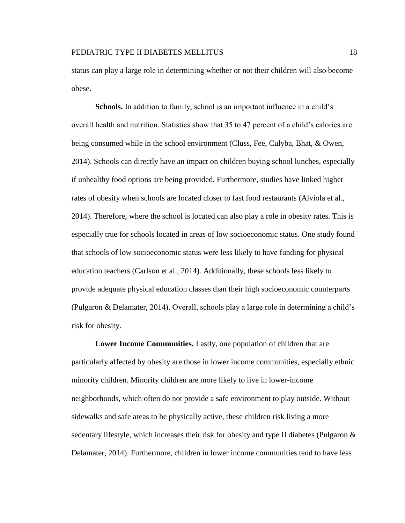status can play a large role in determining whether or not their children will also become obese.

**Schools.** In addition to family, school is an important influence in a child's overall health and nutrition. Statistics show that 35 to 47 percent of a child's calories are being consumed while in the school environment (Cluss, Fee, Culyba, Bhat, & Owen, 2014). Schools can directly have an impact on children buying school lunches, especially if unhealthy food options are being provided. Furthermore, studies have linked higher rates of obesity when schools are located closer to fast food restaurants (Alviola et al., 2014). Therefore, where the school is located can also play a role in obesity rates. This is especially true for schools located in areas of low socioeconomic status. One study found that schools of low socioeconomic status were less likely to have funding for physical education teachers (Carlson et al., 2014). Additionally, these schools less likely to provide adequate physical education classes than their high socioeconomic counterparts (Pulgaron & Delamater, 2014). Overall, schools play a large role in determining a child's risk for obesity.

**Lower Income Communities.** Lastly, one population of children that are particularly affected by obesity are those in lower income communities, especially ethnic minority children. Minority children are more likely to live in lower-income neighborhoods, which often do not provide a safe environment to play outside. Without sidewalks and safe areas to be physically active, these children risk living a more sedentary lifestyle, which increases their risk for obesity and type II diabetes (Pulgaron & Delamater, 2014). Furthermore, children in lower income communities tend to have less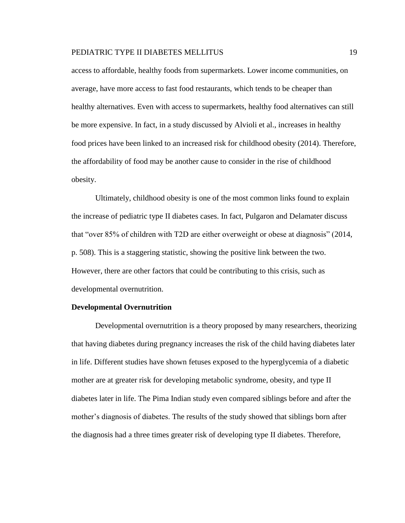access to affordable, healthy foods from supermarkets. Lower income communities, on average, have more access to fast food restaurants, which tends to be cheaper than healthy alternatives. Even with access to supermarkets, healthy food alternatives can still be more expensive. In fact, in a study discussed by Alvioli et al., increases in healthy food prices have been linked to an increased risk for childhood obesity (2014). Therefore, the affordability of food may be another cause to consider in the rise of childhood obesity.

Ultimately, childhood obesity is one of the most common links found to explain the increase of pediatric type II diabetes cases. In fact, Pulgaron and Delamater discuss that "over 85% of children with T2D are either overweight or obese at diagnosis" (2014, p. 508). This is a staggering statistic, showing the positive link between the two. However, there are other factors that could be contributing to this crisis, such as developmental overnutrition.

#### **Developmental Overnutrition**

Developmental overnutrition is a theory proposed by many researchers, theorizing that having diabetes during pregnancy increases the risk of the child having diabetes later in life. Different studies have shown fetuses exposed to the hyperglycemia of a diabetic mother are at greater risk for developing metabolic syndrome, obesity, and type II diabetes later in life. The Pima Indian study even compared siblings before and after the mother's diagnosis of diabetes. The results of the study showed that siblings born after the diagnosis had a three times greater risk of developing type II diabetes. Therefore,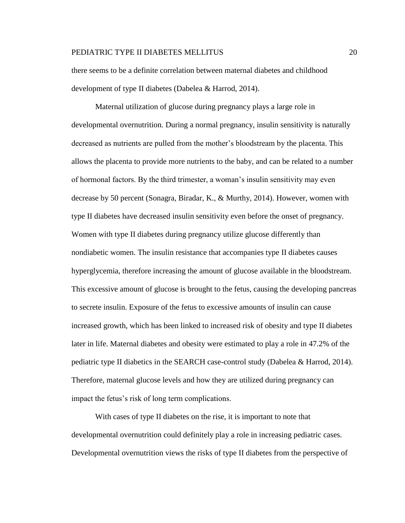there seems to be a definite correlation between maternal diabetes and childhood development of type II diabetes (Dabelea & Harrod, 2014).

Maternal utilization of glucose during pregnancy plays a large role in developmental overnutrition. During a normal pregnancy, insulin sensitivity is naturally decreased as nutrients are pulled from the mother's bloodstream by the placenta. This allows the placenta to provide more nutrients to the baby, and can be related to a number of hormonal factors. By the third trimester, a woman's insulin sensitivity may even decrease by 50 percent (Sonagra, Biradar, K., & Murthy, 2014). However, women with type II diabetes have decreased insulin sensitivity even before the onset of pregnancy. Women with type II diabetes during pregnancy utilize glucose differently than nondiabetic women. The insulin resistance that accompanies type II diabetes causes hyperglycemia, therefore increasing the amount of glucose available in the bloodstream. This excessive amount of glucose is brought to the fetus, causing the developing pancreas to secrete insulin. Exposure of the fetus to excessive amounts of insulin can cause increased growth, which has been linked to increased risk of obesity and type II diabetes later in life. Maternal diabetes and obesity were estimated to play a role in 47.2% of the pediatric type II diabetics in the SEARCH case-control study (Dabelea & Harrod, 2014). Therefore, maternal glucose levels and how they are utilized during pregnancy can impact the fetus's risk of long term complications.

With cases of type II diabetes on the rise, it is important to note that developmental overnutrition could definitely play a role in increasing pediatric cases. Developmental overnutrition views the risks of type II diabetes from the perspective of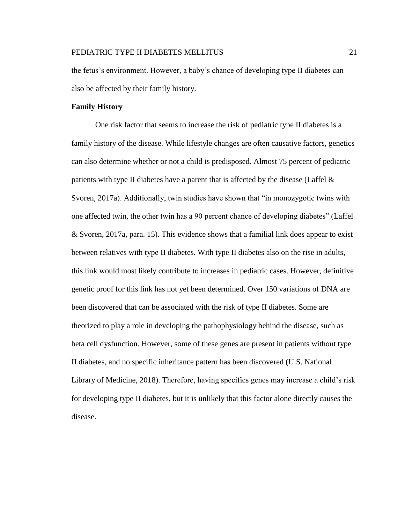the fetus's environment. However, a baby's chance of developing type II diabetes can also be affected by their family history.

# **Family History**

One risk factor that seems to increase the risk of pediatric type II diabetes is a family history of the disease. While lifestyle changes are often causative factors, genetics can also determine whether or not a child is predisposed. Almost 75 percent of pediatric patients with type II diabetes have a parent that is affected by the disease (Laffel  $\&$ Svoren, 2017a). Additionally, twin studies have shown that "in monozygotic twins with one affected twin, the other twin has a 90 percent chance of developing diabetes" (Laffel & Svoren, 2017a, para. 15). This evidence shows that a familial link does appear to exist between relatives with type II diabetes. With type II diabetes also on the rise in adults, this link would most likely contribute to increases in pediatric cases. However, definitive genetic proof for this link has not yet been determined. Over 150 variations of DNA are been discovered that can be associated with the risk of type II diabetes. Some are theorized to play a role in developing the pathophysiology behind the disease, such as beta cell dysfunction. However, some of these genes are present in patients without type II diabetes, and no specific inheritance pattern has been discovered (U.S. National Library of Medicine, 2018). Therefore, having specifics genes may increase a child's risk for developing type II diabetes, but it is unlikely that this factor alone directly causes the disease.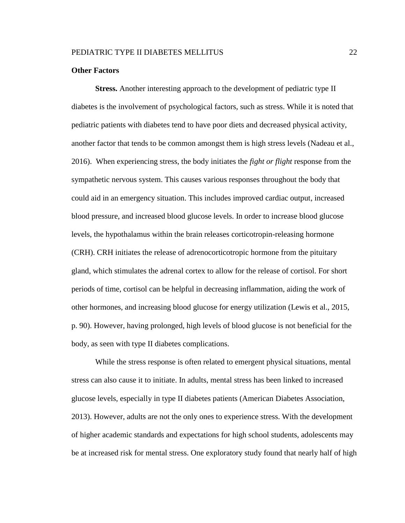## **Other Factors**

**Stress.** Another interesting approach to the development of pediatric type II diabetes is the involvement of psychological factors, such as stress. While it is noted that pediatric patients with diabetes tend to have poor diets and decreased physical activity, another factor that tends to be common amongst them is high stress levels (Nadeau et al., 2016). When experiencing stress, the body initiates the *fight or flight* response from the sympathetic nervous system. This causes various responses throughout the body that could aid in an emergency situation. This includes improved cardiac output, increased blood pressure, and increased blood glucose levels. In order to increase blood glucose levels, the hypothalamus within the brain releases corticotropin-releasing hormone (CRH). CRH initiates the release of adrenocorticotropic hormone from the pituitary gland, which stimulates the adrenal cortex to allow for the release of cortisol. For short periods of time, cortisol can be helpful in decreasing inflammation, aiding the work of other hormones, and increasing blood glucose for energy utilization (Lewis et al., 2015, p. 90). However, having prolonged, high levels of blood glucose is not beneficial for the body, as seen with type II diabetes complications.

While the stress response is often related to emergent physical situations, mental stress can also cause it to initiate. In adults, mental stress has been linked to increased glucose levels, especially in type II diabetes patients (American Diabetes Association, 2013). However, adults are not the only ones to experience stress. With the development of higher academic standards and expectations for high school students, adolescents may be at increased risk for mental stress. One exploratory study found that nearly half of high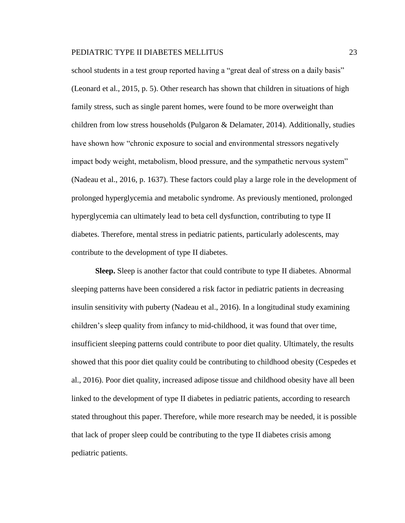school students in a test group reported having a "great deal of stress on a daily basis" (Leonard et al., 2015, p. 5). Other research has shown that children in situations of high family stress, such as single parent homes, were found to be more overweight than children from low stress households (Pulgaron & Delamater, 2014). Additionally, studies have shown how "chronic exposure to social and environmental stressors negatively impact body weight, metabolism, blood pressure, and the sympathetic nervous system" (Nadeau et al., 2016, p. 1637). These factors could play a large role in the development of prolonged hyperglycemia and metabolic syndrome. As previously mentioned, prolonged hyperglycemia can ultimately lead to beta cell dysfunction, contributing to type II diabetes. Therefore, mental stress in pediatric patients, particularly adolescents, may contribute to the development of type II diabetes.

**Sleep.** Sleep is another factor that could contribute to type II diabetes. Abnormal sleeping patterns have been considered a risk factor in pediatric patients in decreasing insulin sensitivity with puberty (Nadeau et al., 2016). In a longitudinal study examining children's sleep quality from infancy to mid-childhood, it was found that over time, insufficient sleeping patterns could contribute to poor diet quality. Ultimately, the results showed that this poor diet quality could be contributing to childhood obesity (Cespedes et al., 2016). Poor diet quality, increased adipose tissue and childhood obesity have all been linked to the development of type II diabetes in pediatric patients, according to research stated throughout this paper. Therefore, while more research may be needed, it is possible that lack of proper sleep could be contributing to the type II diabetes crisis among pediatric patients.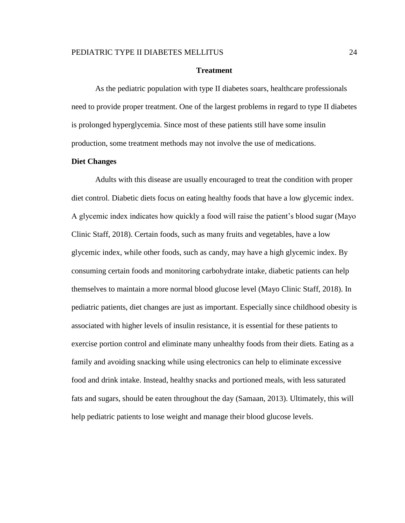## **Treatment**

As the pediatric population with type II diabetes soars, healthcare professionals need to provide proper treatment. One of the largest problems in regard to type II diabetes is prolonged hyperglycemia. Since most of these patients still have some insulin production, some treatment methods may not involve the use of medications.

# **Diet Changes**

Adults with this disease are usually encouraged to treat the condition with proper diet control. Diabetic diets focus on eating healthy foods that have a low glycemic index. A glycemic index indicates how quickly a food will raise the patient's blood sugar (Mayo Clinic Staff, 2018). Certain foods, such as many fruits and vegetables, have a low glycemic index, while other foods, such as candy, may have a high glycemic index. By consuming certain foods and monitoring carbohydrate intake, diabetic patients can help themselves to maintain a more normal blood glucose level (Mayo Clinic Staff, 2018). In pediatric patients, diet changes are just as important. Especially since childhood obesity is associated with higher levels of insulin resistance, it is essential for these patients to exercise portion control and eliminate many unhealthy foods from their diets. Eating as a family and avoiding snacking while using electronics can help to eliminate excessive food and drink intake. Instead, healthy snacks and portioned meals, with less saturated fats and sugars, should be eaten throughout the day (Samaan, 2013). Ultimately, this will help pediatric patients to lose weight and manage their blood glucose levels.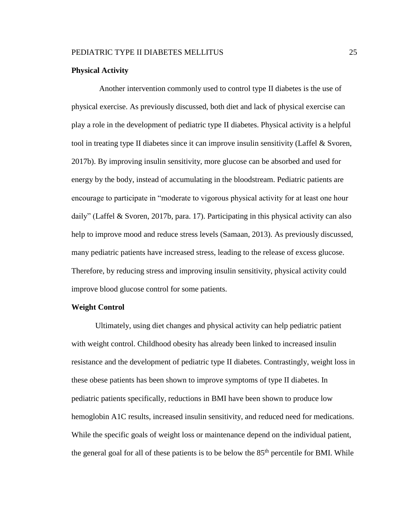# **Physical Activity**

 Another intervention commonly used to control type II diabetes is the use of physical exercise. As previously discussed, both diet and lack of physical exercise can play a role in the development of pediatric type II diabetes. Physical activity is a helpful tool in treating type II diabetes since it can improve insulin sensitivity (Laffel & Svoren, 2017b). By improving insulin sensitivity, more glucose can be absorbed and used for energy by the body, instead of accumulating in the bloodstream. Pediatric patients are encourage to participate in "moderate to vigorous physical activity for at least one hour daily" (Laffel & Svoren, 2017b, para. 17). Participating in this physical activity can also help to improve mood and reduce stress levels (Samaan, 2013). As previously discussed, many pediatric patients have increased stress, leading to the release of excess glucose. Therefore, by reducing stress and improving insulin sensitivity, physical activity could improve blood glucose control for some patients.

# **Weight Control**

Ultimately, using diet changes and physical activity can help pediatric patient with weight control. Childhood obesity has already been linked to increased insulin resistance and the development of pediatric type II diabetes. Contrastingly, weight loss in these obese patients has been shown to improve symptoms of type II diabetes. In pediatric patients specifically, reductions in BMI have been shown to produce low hemoglobin A1C results, increased insulin sensitivity, and reduced need for medications. While the specific goals of weight loss or maintenance depend on the individual patient, the general goal for all of these patients is to be below the  $85<sup>th</sup>$  percentile for BMI. While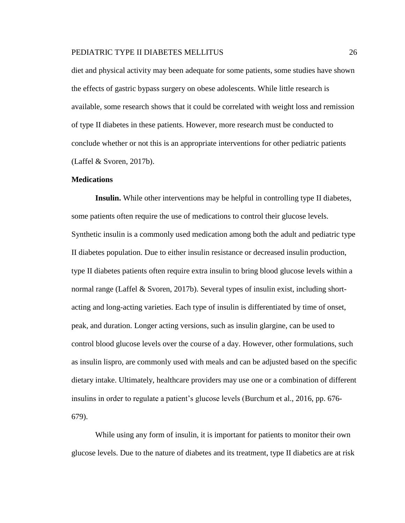diet and physical activity may been adequate for some patients, some studies have shown the effects of gastric bypass surgery on obese adolescents. While little research is available, some research shows that it could be correlated with weight loss and remission of type II diabetes in these patients. However, more research must be conducted to conclude whether or not this is an appropriate interventions for other pediatric patients (Laffel & Svoren, 2017b).

## **Medications**

**Insulin.** While other interventions may be helpful in controlling type II diabetes, some patients often require the use of medications to control their glucose levels. Synthetic insulin is a commonly used medication among both the adult and pediatric type II diabetes population. Due to either insulin resistance or decreased insulin production, type II diabetes patients often require extra insulin to bring blood glucose levels within a normal range (Laffel & Svoren, 2017b). Several types of insulin exist, including shortacting and long-acting varieties. Each type of insulin is differentiated by time of onset, peak, and duration. Longer acting versions, such as insulin glargine, can be used to control blood glucose levels over the course of a day. However, other formulations, such as insulin lispro, are commonly used with meals and can be adjusted based on the specific dietary intake. Ultimately, healthcare providers may use one or a combination of different insulins in order to regulate a patient's glucose levels (Burchum et al., 2016, pp. 676- 679).

While using any form of insulin, it is important for patients to monitor their own glucose levels. Due to the nature of diabetes and its treatment, type II diabetics are at risk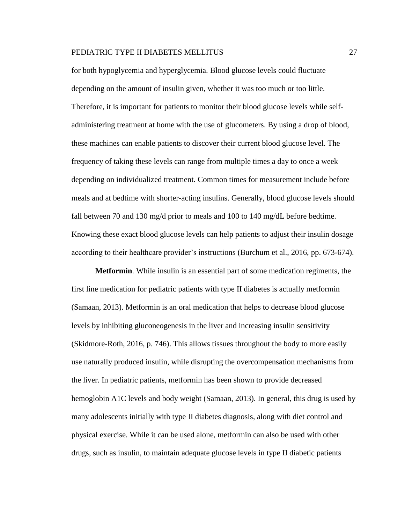for both hypoglycemia and hyperglycemia. Blood glucose levels could fluctuate depending on the amount of insulin given, whether it was too much or too little. Therefore, it is important for patients to monitor their blood glucose levels while selfadministering treatment at home with the use of glucometers. By using a drop of blood, these machines can enable patients to discover their current blood glucose level. The frequency of taking these levels can range from multiple times a day to once a week depending on individualized treatment. Common times for measurement include before meals and at bedtime with shorter-acting insulins. Generally, blood glucose levels should fall between 70 and 130 mg/d prior to meals and 100 to 140 mg/dL before bedtime. Knowing these exact blood glucose levels can help patients to adjust their insulin dosage according to their healthcare provider's instructions (Burchum et al., 2016, pp. 673-674).

**Metformin**. While insulin is an essential part of some medication regiments, the first line medication for pediatric patients with type II diabetes is actually metformin (Samaan, 2013). Metformin is an oral medication that helps to decrease blood glucose levels by inhibiting gluconeogenesis in the liver and increasing insulin sensitivity (Skidmore-Roth, 2016, p. 746). This allows tissues throughout the body to more easily use naturally produced insulin, while disrupting the overcompensation mechanisms from the liver. In pediatric patients, metformin has been shown to provide decreased hemoglobin A1C levels and body weight (Samaan, 2013). In general, this drug is used by many adolescents initially with type II diabetes diagnosis, along with diet control and physical exercise. While it can be used alone, metformin can also be used with other drugs, such as insulin, to maintain adequate glucose levels in type II diabetic patients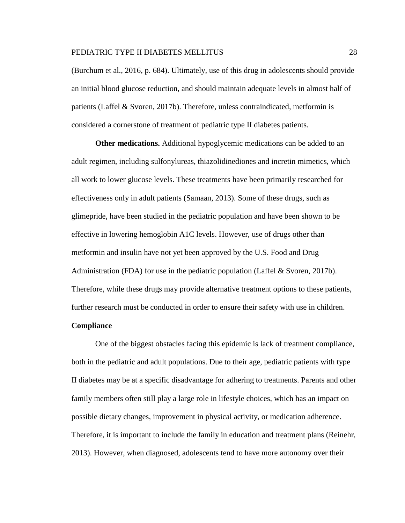(Burchum et al., 2016, p. 684). Ultimately, use of this drug in adolescents should provide an initial blood glucose reduction, and should maintain adequate levels in almost half of patients (Laffel & Svoren, 2017b). Therefore, unless contraindicated, metformin is considered a cornerstone of treatment of pediatric type II diabetes patients.

**Other medications.** Additional hypoglycemic medications can be added to an adult regimen, including sulfonylureas, thiazolidinediones and incretin mimetics, which all work to lower glucose levels. These treatments have been primarily researched for effectiveness only in adult patients (Samaan, 2013). Some of these drugs, such as glimepride, have been studied in the pediatric population and have been shown to be effective in lowering hemoglobin A1C levels. However, use of drugs other than metformin and insulin have not yet been approved by the U.S. Food and Drug Administration (FDA) for use in the pediatric population (Laffel & Svoren, 2017b). Therefore, while these drugs may provide alternative treatment options to these patients, further research must be conducted in order to ensure their safety with use in children.

# **Compliance**

One of the biggest obstacles facing this epidemic is lack of treatment compliance, both in the pediatric and adult populations. Due to their age, pediatric patients with type II diabetes may be at a specific disadvantage for adhering to treatments. Parents and other family members often still play a large role in lifestyle choices, which has an impact on possible dietary changes, improvement in physical activity, or medication adherence. Therefore, it is important to include the family in education and treatment plans (Reinehr, 2013). However, when diagnosed, adolescents tend to have more autonomy over their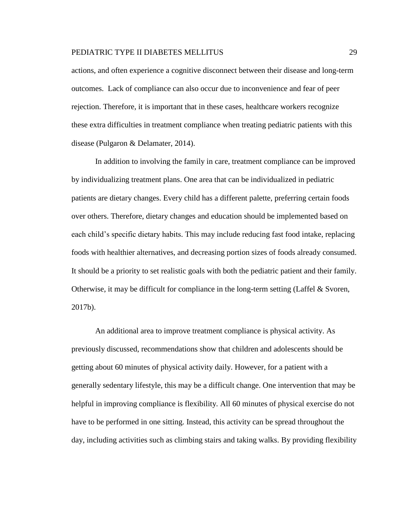actions, and often experience a cognitive disconnect between their disease and long-term outcomes. Lack of compliance can also occur due to inconvenience and fear of peer rejection. Therefore, it is important that in these cases, healthcare workers recognize these extra difficulties in treatment compliance when treating pediatric patients with this disease (Pulgaron & Delamater, 2014).

In addition to involving the family in care, treatment compliance can be improved by individualizing treatment plans. One area that can be individualized in pediatric patients are dietary changes. Every child has a different palette, preferring certain foods over others. Therefore, dietary changes and education should be implemented based on each child's specific dietary habits. This may include reducing fast food intake, replacing foods with healthier alternatives, and decreasing portion sizes of foods already consumed. It should be a priority to set realistic goals with both the pediatric patient and their family. Otherwise, it may be difficult for compliance in the long-term setting (Laffel  $\&$  Svoren, 2017b).

An additional area to improve treatment compliance is physical activity. As previously discussed, recommendations show that children and adolescents should be getting about 60 minutes of physical activity daily. However, for a patient with a generally sedentary lifestyle, this may be a difficult change. One intervention that may be helpful in improving compliance is flexibility. All 60 minutes of physical exercise do not have to be performed in one sitting. Instead, this activity can be spread throughout the day, including activities such as climbing stairs and taking walks. By providing flexibility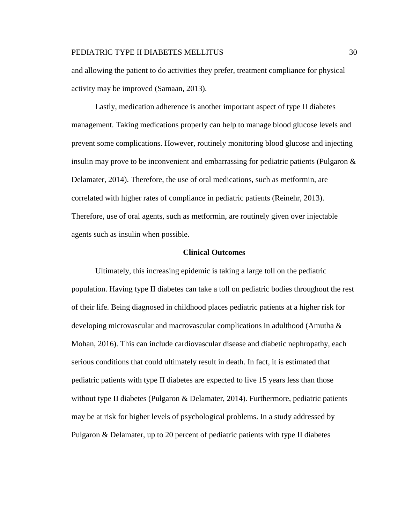and allowing the patient to do activities they prefer, treatment compliance for physical activity may be improved (Samaan, 2013).

Lastly, medication adherence is another important aspect of type II diabetes management. Taking medications properly can help to manage blood glucose levels and prevent some complications. However, routinely monitoring blood glucose and injecting insulin may prove to be inconvenient and embarrassing for pediatric patients (Pulgaron  $\&$ Delamater, 2014). Therefore, the use of oral medications, such as metformin, are correlated with higher rates of compliance in pediatric patients (Reinehr, 2013). Therefore, use of oral agents, such as metformin, are routinely given over injectable agents such as insulin when possible.

# **Clinical Outcomes**

Ultimately, this increasing epidemic is taking a large toll on the pediatric population. Having type II diabetes can take a toll on pediatric bodies throughout the rest of their life. Being diagnosed in childhood places pediatric patients at a higher risk for developing microvascular and macrovascular complications in adulthood (Amutha & Mohan, 2016). This can include cardiovascular disease and diabetic nephropathy, each serious conditions that could ultimately result in death. In fact, it is estimated that pediatric patients with type II diabetes are expected to live 15 years less than those without type II diabetes (Pulgaron  $\&$  Delamater, 2014). Furthermore, pediatric patients may be at risk for higher levels of psychological problems. In a study addressed by Pulgaron & Delamater, up to 20 percent of pediatric patients with type II diabetes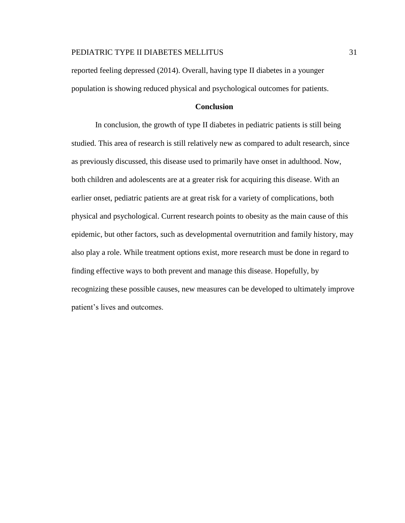reported feeling depressed (2014). Overall, having type II diabetes in a younger population is showing reduced physical and psychological outcomes for patients.

# **Conclusion**

In conclusion, the growth of type II diabetes in pediatric patients is still being studied. This area of research is still relatively new as compared to adult research, since as previously discussed, this disease used to primarily have onset in adulthood. Now, both children and adolescents are at a greater risk for acquiring this disease. With an earlier onset, pediatric patients are at great risk for a variety of complications, both physical and psychological. Current research points to obesity as the main cause of this epidemic, but other factors, such as developmental overnutrition and family history, may also play a role. While treatment options exist, more research must be done in regard to finding effective ways to both prevent and manage this disease. Hopefully, by recognizing these possible causes, new measures can be developed to ultimately improve patient's lives and outcomes.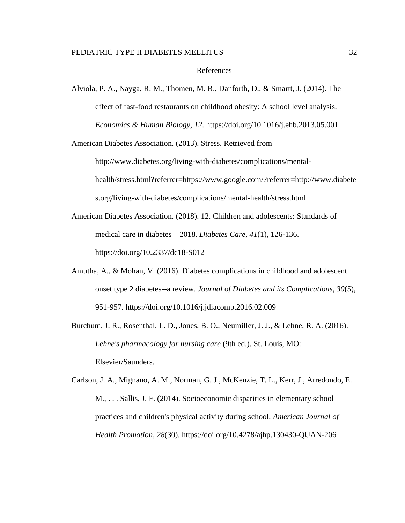#### References

Alviola, P. A., Nayga, R. M., Thomen, M. R., Danforth, D., & Smartt, J. (2014). The effect of fast-food restaurants on childhood obesity: A school level analysis. *Economics & Human Biology*, *12*. https://doi.org/10.1016/j.ehb.2013.05.001

American Diabetes Association. (2013). Stress. Retrieved from

http://www.diabetes.org/living-with-diabetes/complications/mentalhealth/stress.html?referrer=https://www.google.com/?referrer=http://www.diabete s.org/living-with-diabetes/complications/mental-health/stress.html

- American Diabetes Association. (2018). 12. Children and adolescents: Standards of medical care in diabetes—2018. *Diabetes Care*, *41*(1), 126-136. https://doi.org/10.2337/dc18-S012
- Amutha, A., & Mohan, V. (2016). Diabetes complications in childhood and adolescent onset type 2 diabetes--a review. *Journal of Diabetes and its Complications*, *30*(5), 951-957. https://doi.org/10.1016/j.jdiacomp.2016.02.009
- Burchum, J. R., Rosenthal, L. D., Jones, B. O., Neumiller, J. J., & Lehne, R. A. (2016). *Lehne's pharmacology for nursing care* (9th ed.). St. Louis, MO: Elsevier/Saunders.
- Carlson, J. A., Mignano, A. M., Norman, G. J., McKenzie, T. L., Kerr, J., Arredondo, E. M., . . . Sallis, J. F. (2014). Socioeconomic disparities in elementary school practices and children's physical activity during school. *American Journal of Health Promotion*, *28*(30). https://doi.org/10.4278/ajhp.130430-QUAN-206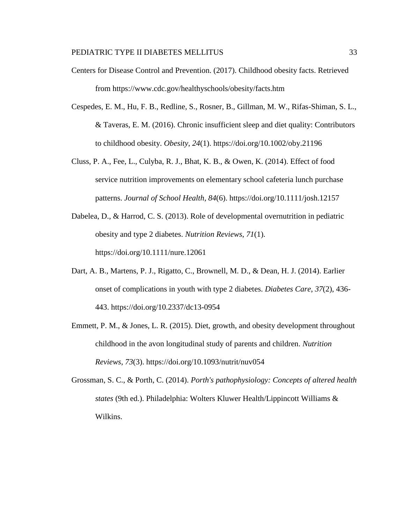- Centers for Disease Control and Prevention. (2017). Childhood obesity facts. Retrieved from https://www.cdc.gov/healthyschools/obesity/facts.htm
- Cespedes, E. M., Hu, F. B., Redline, S., Rosner, B., Gillman, M. W., Rifas-Shiman, S. L., & Taveras, E. M. (2016). Chronic insufficient sleep and diet quality: Contributors to childhood obesity. *Obesity*, *24*(1). https://doi.org/10.1002/oby.21196
- Cluss, P. A., Fee, L., Culyba, R. J., Bhat, K. B., & Owen, K. (2014). Effect of food service nutrition improvements on elementary school cafeteria lunch purchase patterns. *Journal of School Health*, *84*(6). https://doi.org/10.1111/josh.12157
- Dabelea, D., & Harrod, C. S. (2013). Role of developmental overnutrition in pediatric obesity and type 2 diabetes. *Nutrition Reviews*, *71*(1). https://doi.org/10.1111/nure.12061
- Dart, A. B., Martens, P. J., Rigatto, C., Brownell, M. D., & Dean, H. J. (2014). Earlier onset of complications in youth with type 2 diabetes. *Diabetes Care*, *37*(2), 436- 443. https://doi.org/10.2337/dc13-0954
- Emmett, P. M., & Jones, L. R. (2015). Diet, growth, and obesity development throughout childhood in the avon longitudinal study of parents and children. *Nutrition Reviews*, *73*(3). https://doi.org/10.1093/nutrit/nuv054
- Grossman, S. C., & Porth, C. (2014). *Porth's pathophysiology: Concepts of altered health states* (9th ed.). Philadelphia: Wolters Kluwer Health/Lippincott Williams & Wilkins.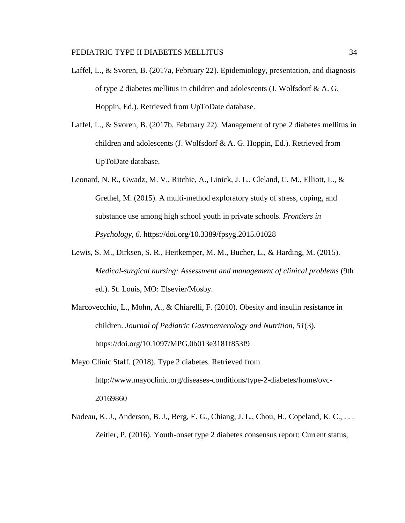- Laffel, L., & Svoren, B. (2017a, February 22). Epidemiology, presentation, and diagnosis of type 2 diabetes mellitus in children and adolescents (J. Wolfsdorf & A. G. Hoppin, Ed.). Retrieved from UpToDate database.
- Laffel, L., & Svoren, B. (2017b, February 22). Management of type 2 diabetes mellitus in children and adolescents (J. Wolfsdorf & A. G. Hoppin, Ed.). Retrieved from UpToDate database.
- Leonard, N. R., Gwadz, M. V., Ritchie, A., Linick, J. L., Cleland, C. M., Elliott, L., & Grethel, M. (2015). A multi-method exploratory study of stress, coping, and substance use among high school youth in private schools. *Frontiers in Psychology*, *6*. https://doi.org/10.3389/fpsyg.2015.01028
- Lewis, S. M., Dirksen, S. R., Heitkemper, M. M., Bucher, L., & Harding, M. (2015). *Medical-surgical nursing: Assessment and management of clinical problems* (9th ed.). St. Louis, MO: Elsevier/Mosby.
- Marcovecchio, L., Mohn, A., & Chiarelli, F. (2010). Obesity and insulin resistance in children. *Journal of Pediatric Gastroenterology and Nutrition*, *51*(3). https://doi.org/10.1097/MPG.0b013e3181f853f9
- Mayo Clinic Staff. (2018). Type 2 diabetes. Retrieved from http://www.mayoclinic.org/diseases-conditions/type-2-diabetes/home/ovc-20169860
- Nadeau, K. J., Anderson, B. J., Berg, E. G., Chiang, J. L., Chou, H., Copeland, K. C., ... Zeitler, P. (2016). Youth-onset type 2 diabetes consensus report: Current status,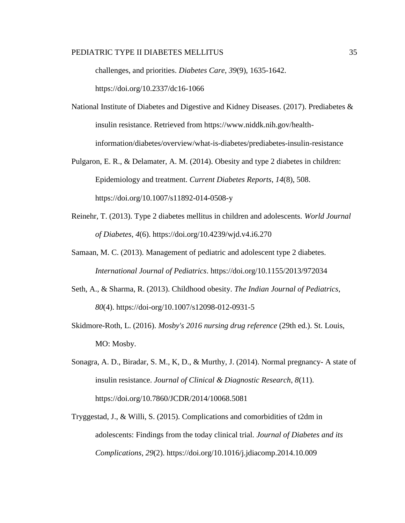challenges, and priorities. *Diabetes Care*, *39*(9), 1635-1642.

https://doi.org/10.2337/dc16-1066

- National Institute of Diabetes and Digestive and Kidney Diseases. (2017). Prediabetes  $\&$ insulin resistance. Retrieved from https://www.niddk.nih.gov/healthinformation/diabetes/overview/what-is-diabetes/prediabetes-insulin-resistance
- Pulgaron, E. R., & Delamater, A. M. (2014). Obesity and type 2 diabetes in children: Epidemiology and treatment. *Current Diabetes Reports*, *14*(8), 508. https://doi.org/10.1007/s11892-014-0508-y
- Reinehr, T. (2013). Type 2 diabetes mellitus in children and adolescents. *World Journal of Diabetes*, *4*(6). https://doi.org/10.4239/wjd.v4.i6.270
- Samaan, M. C. (2013). Management of pediatric and adolescent type 2 diabetes. *International Journal of Pediatrics*. https://doi.org/10.1155/2013/972034
- Seth, A., & Sharma, R. (2013). Childhood obesity. *The Indian Journal of Pediatrics*, *80*(4). https://doi-org/10.1007/s12098-012-0931-5
- Skidmore-Roth, L. (2016). *Mosby's 2016 nursing drug reference* (29th ed.). St. Louis, MO: Mosby.
- Sonagra, A. D., Biradar, S. M., K, D., & Murthy, J. (2014). Normal pregnancy- A state of insulin resistance. *Journal of Clinical & Diagnostic Research*, *8*(11). https://doi.org/10.7860/JCDR/2014/10068.5081
- Tryggestad, J., & Willi, S. (2015). Complications and comorbidities of t2dm in adolescents: Findings from the today clinical trial. *Journal of Diabetes and its Complications*, *29*(2). https://doi.org/10.1016/j.jdiacomp.2014.10.009